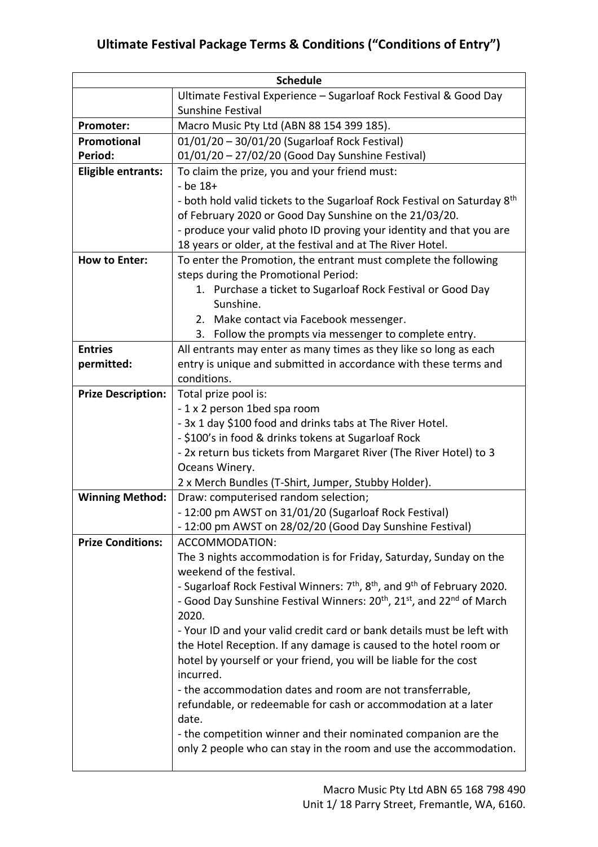| <b>Schedule</b>           |                                                                                                              |
|---------------------------|--------------------------------------------------------------------------------------------------------------|
|                           | Ultimate Festival Experience - Sugarloaf Rock Festival & Good Day                                            |
|                           | <b>Sunshine Festival</b>                                                                                     |
| Promoter:                 | Macro Music Pty Ltd (ABN 88 154 399 185).                                                                    |
| Promotional               | 01/01/20 - 30/01/20 (Sugarloaf Rock Festival)                                                                |
| Period:                   | 01/01/20 - 27/02/20 (Good Day Sunshine Festival)                                                             |
| Eligible entrants:        | To claim the prize, you and your friend must:                                                                |
|                           | $-$ be $18+$                                                                                                 |
|                           | - both hold valid tickets to the Sugarloaf Rock Festival on Saturday 8 <sup>th</sup>                         |
|                           | of February 2020 or Good Day Sunshine on the 21/03/20.                                                       |
|                           | - produce your valid photo ID proving your identity and that you are                                         |
|                           | 18 years or older, at the festival and at The River Hotel.                                                   |
| <b>How to Enter:</b>      | To enter the Promotion, the entrant must complete the following                                              |
|                           | steps during the Promotional Period:                                                                         |
|                           | 1. Purchase a ticket to Sugarloaf Rock Festival or Good Day                                                  |
|                           | Sunshine.                                                                                                    |
|                           | 2. Make contact via Facebook messenger.                                                                      |
|                           | 3. Follow the prompts via messenger to complete entry.                                                       |
| <b>Entries</b>            | All entrants may enter as many times as they like so long as each                                            |
| permitted:                | entry is unique and submitted in accordance with these terms and                                             |
|                           | conditions.                                                                                                  |
| <b>Prize Description:</b> | Total prize pool is:                                                                                         |
|                           | -1 x 2 person 1bed spa room                                                                                  |
|                           | - 3x 1 day \$100 food and drinks tabs at The River Hotel.                                                    |
|                           | - \$100's in food & drinks tokens at Sugarloaf Rock                                                          |
|                           | - 2x return bus tickets from Margaret River (The River Hotel) to 3                                           |
|                           | Oceans Winery.<br>2 x Merch Bundles (T-Shirt, Jumper, Stubby Holder).                                        |
| <b>Winning Method:</b>    | Draw: computerised random selection;                                                                         |
|                           | - 12:00 pm AWST on 31/01/20 (Sugarloaf Rock Festival)                                                        |
|                           | - 12:00 pm AWST on 28/02/20 (Good Day Sunshine Festival)                                                     |
| <b>Prize Conditions:</b>  | ACCOMMODATION:                                                                                               |
|                           | The 3 nights accommodation is for Friday, Saturday, Sunday on the                                            |
|                           | weekend of the festival.                                                                                     |
|                           | - Sugarloaf Rock Festival Winners: 7 <sup>th</sup> , 8 <sup>th</sup> , and 9 <sup>th</sup> of February 2020. |
|                           | - Good Day Sunshine Festival Winners: 20 <sup>th</sup> , 21 <sup>st</sup> , and 22 <sup>nd</sup> of March    |
|                           | 2020.                                                                                                        |
|                           | - Your ID and your valid credit card or bank details must be left with                                       |
|                           | the Hotel Reception. If any damage is caused to the hotel room or                                            |
|                           | hotel by yourself or your friend, you will be liable for the cost                                            |
|                           | incurred.                                                                                                    |
|                           | - the accommodation dates and room are not transferrable,                                                    |
|                           | refundable, or redeemable for cash or accommodation at a later                                               |
|                           | date.                                                                                                        |
|                           | - the competition winner and their nominated companion are the                                               |
|                           | only 2 people who can stay in the room and use the accommodation.                                            |
|                           |                                                                                                              |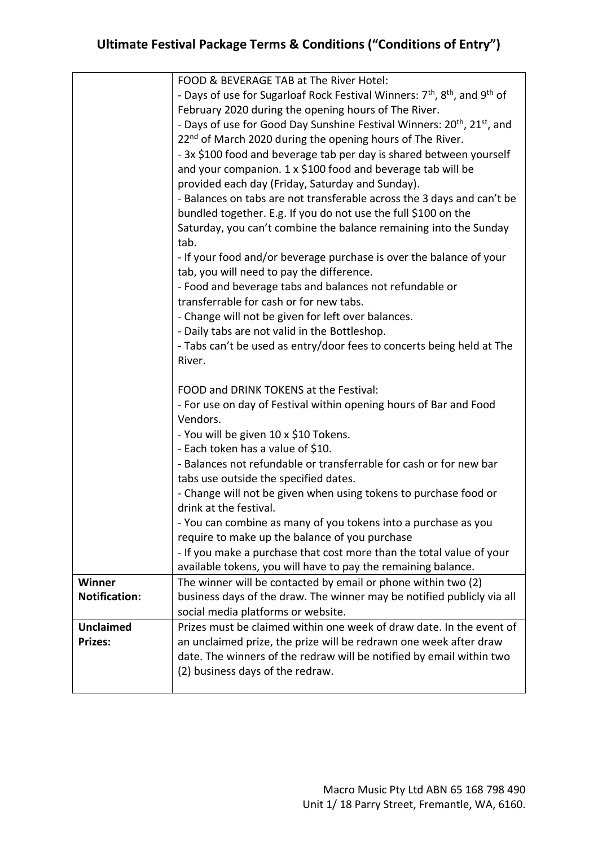|                      | FOOD & BEVERAGE TAB at The River Hotel:                                                                       |
|----------------------|---------------------------------------------------------------------------------------------------------------|
|                      | - Days of use for Sugarloaf Rock Festival Winners: 7 <sup>th</sup> , 8 <sup>th</sup> , and 9 <sup>th</sup> of |
|                      | February 2020 during the opening hours of The River.                                                          |
|                      | - Days of use for Good Day Sunshine Festival Winners: 20 <sup>th</sup> , 21 <sup>st</sup> , and               |
|                      | 22 <sup>nd</sup> of March 2020 during the opening hours of The River.                                         |
|                      | - 3x \$100 food and beverage tab per day is shared between yourself                                           |
|                      | and your companion. 1 x \$100 food and beverage tab will be                                                   |
|                      | provided each day (Friday, Saturday and Sunday).                                                              |
|                      | - Balances on tabs are not transferable across the 3 days and can't be                                        |
|                      | bundled together. E.g. If you do not use the full \$100 on the                                                |
|                      | Saturday, you can't combine the balance remaining into the Sunday                                             |
|                      | tab.                                                                                                          |
|                      | - If your food and/or beverage purchase is over the balance of your                                           |
|                      | tab, you will need to pay the difference.                                                                     |
|                      | - Food and beverage tabs and balances not refundable or                                                       |
|                      | transferrable for cash or for new tabs.                                                                       |
|                      | - Change will not be given for left over balances.                                                            |
|                      | - Daily tabs are not valid in the Bottleshop.                                                                 |
|                      | - Tabs can't be used as entry/door fees to concerts being held at The                                         |
|                      | River.                                                                                                        |
|                      |                                                                                                               |
|                      | FOOD and DRINK TOKENS at the Festival:                                                                        |
|                      | - For use on day of Festival within opening hours of Bar and Food                                             |
|                      | Vendors.                                                                                                      |
|                      | - You will be given 10 x \$10 Tokens.                                                                         |
|                      | - Each token has a value of \$10.                                                                             |
|                      | - Balances not refundable or transferrable for cash or for new bar                                            |
|                      | tabs use outside the specified dates.                                                                         |
|                      | - Change will not be given when using tokens to purchase food or                                              |
|                      | drink at the festival.                                                                                        |
|                      | - You can combine as many of you tokens into a purchase as you                                                |
|                      | require to make up the balance of you purchase                                                                |
|                      | - If you make a purchase that cost more than the total value of your                                          |
|                      | available tokens, you will have to pay the remaining balance.                                                 |
| <b>Winner</b>        | The winner will be contacted by email or phone within two (2)                                                 |
| <b>Notification:</b> | business days of the draw. The winner may be notified publicly via all                                        |
|                      | social media platforms or website.                                                                            |
| <b>Unclaimed</b>     | Prizes must be claimed within one week of draw date. In the event of                                          |
| <b>Prizes:</b>       | an unclaimed prize, the prize will be redrawn one week after draw                                             |
|                      | date. The winners of the redraw will be notified by email within two                                          |
|                      | (2) business days of the redraw.                                                                              |
|                      |                                                                                                               |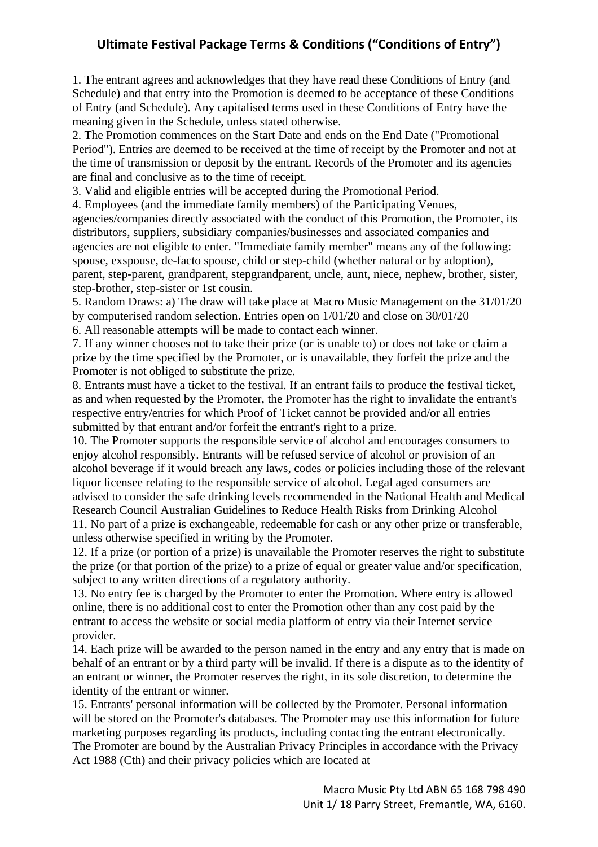1. The entrant agrees and acknowledges that they have read these Conditions of Entry (and Schedule) and that entry into the Promotion is deemed to be acceptance of these Conditions of Entry (and Schedule). Any capitalised terms used in these Conditions of Entry have the meaning given in the Schedule, unless stated otherwise.

2. The Promotion commences on the Start Date and ends on the End Date ("Promotional Period"). Entries are deemed to be received at the time of receipt by the Promoter and not at the time of transmission or deposit by the entrant. Records of the Promoter and its agencies are final and conclusive as to the time of receipt.

3. Valid and eligible entries will be accepted during the Promotional Period.

4. Employees (and the immediate family members) of the Participating Venues, agencies/companies directly associated with the conduct of this Promotion, the Promoter, its distributors, suppliers, subsidiary companies/businesses and associated companies and agencies are not eligible to enter. "Immediate family member" means any of the following: spouse, exspouse, de-facto spouse, child or step-child (whether natural or by adoption), parent, step-parent, grandparent, stepgrandparent, uncle, aunt, niece, nephew, brother, sister, step-brother, step-sister or 1st cousin.

5. Random Draws: a) The draw will take place at Macro Music Management on the 31/01/20 by computerised random selection. Entries open on 1/01/20 and close on 30/01/20

6. All reasonable attempts will be made to contact each winner.

7. If any winner chooses not to take their prize (or is unable to) or does not take or claim a prize by the time specified by the Promoter, or is unavailable, they forfeit the prize and the Promoter is not obliged to substitute the prize.

8. Entrants must have a ticket to the festival. If an entrant fails to produce the festival ticket, as and when requested by the Promoter, the Promoter has the right to invalidate the entrant's respective entry/entries for which Proof of Ticket cannot be provided and/or all entries submitted by that entrant and/or forfeit the entrant's right to a prize.

10. The Promoter supports the responsible service of alcohol and encourages consumers to enjoy alcohol responsibly. Entrants will be refused service of alcohol or provision of an alcohol beverage if it would breach any laws, codes or policies including those of the relevant liquor licensee relating to the responsible service of alcohol. Legal aged consumers are advised to consider the safe drinking levels recommended in the National Health and Medical Research Council Australian Guidelines to Reduce Health Risks from Drinking Alcohol 11. No part of a prize is exchangeable, redeemable for cash or any other prize or transferable,

unless otherwise specified in writing by the Promoter.

12. If a prize (or portion of a prize) is unavailable the Promoter reserves the right to substitute the prize (or that portion of the prize) to a prize of equal or greater value and/or specification, subject to any written directions of a regulatory authority.

13. No entry fee is charged by the Promoter to enter the Promotion. Where entry is allowed online, there is no additional cost to enter the Promotion other than any cost paid by the entrant to access the website or social media platform of entry via their Internet service provider.

14. Each prize will be awarded to the person named in the entry and any entry that is made on behalf of an entrant or by a third party will be invalid. If there is a dispute as to the identity of an entrant or winner, the Promoter reserves the right, in its sole discretion, to determine the identity of the entrant or winner.

15. Entrants' personal information will be collected by the Promoter. Personal information will be stored on the Promoter's databases. The Promoter may use this information for future marketing purposes regarding its products, including contacting the entrant electronically. The Promoter are bound by the Australian Privacy Principles in accordance with the Privacy Act 1988 (Cth) and their privacy policies which are located at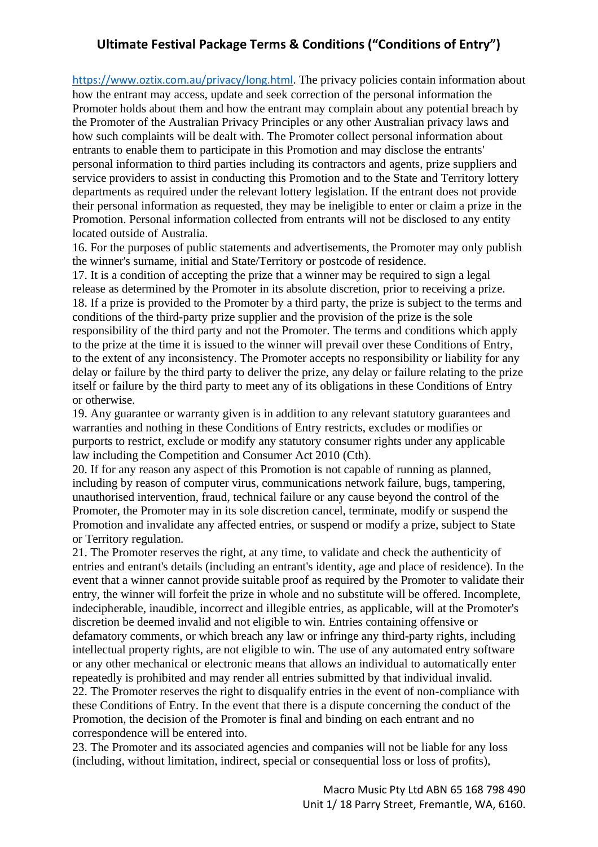[https://www.oztix.com.au/privacy/long.html.](https://www.oztix.com.au/privacy/long.html) The privacy policies contain information about how the entrant may access, update and seek correction of the personal information the Promoter holds about them and how the entrant may complain about any potential breach by the Promoter of the Australian Privacy Principles or any other Australian privacy laws and how such complaints will be dealt with. The Promoter collect personal information about entrants to enable them to participate in this Promotion and may disclose the entrants' personal information to third parties including its contractors and agents, prize suppliers and service providers to assist in conducting this Promotion and to the State and Territory lottery departments as required under the relevant lottery legislation. If the entrant does not provide their personal information as requested, they may be ineligible to enter or claim a prize in the Promotion. Personal information collected from entrants will not be disclosed to any entity located outside of Australia.

16. For the purposes of public statements and advertisements, the Promoter may only publish the winner's surname, initial and State/Territory or postcode of residence.

17. It is a condition of accepting the prize that a winner may be required to sign a legal release as determined by the Promoter in its absolute discretion, prior to receiving a prize. 18. If a prize is provided to the Promoter by a third party, the prize is subject to the terms and conditions of the third-party prize supplier and the provision of the prize is the sole responsibility of the third party and not the Promoter. The terms and conditions which apply to the prize at the time it is issued to the winner will prevail over these Conditions of Entry, to the extent of any inconsistency. The Promoter accepts no responsibility or liability for any delay or failure by the third party to deliver the prize, any delay or failure relating to the prize itself or failure by the third party to meet any of its obligations in these Conditions of Entry or otherwise.

19. Any guarantee or warranty given is in addition to any relevant statutory guarantees and warranties and nothing in these Conditions of Entry restricts, excludes or modifies or purports to restrict, exclude or modify any statutory consumer rights under any applicable law including the Competition and Consumer Act 2010 (Cth).

20. If for any reason any aspect of this Promotion is not capable of running as planned, including by reason of computer virus, communications network failure, bugs, tampering, unauthorised intervention, fraud, technical failure or any cause beyond the control of the Promoter, the Promoter may in its sole discretion cancel, terminate, modify or suspend the Promotion and invalidate any affected entries, or suspend or modify a prize, subject to State or Territory regulation.

21. The Promoter reserves the right, at any time, to validate and check the authenticity of entries and entrant's details (including an entrant's identity, age and place of residence). In the event that a winner cannot provide suitable proof as required by the Promoter to validate their entry, the winner will forfeit the prize in whole and no substitute will be offered. Incomplete, indecipherable, inaudible, incorrect and illegible entries, as applicable, will at the Promoter's discretion be deemed invalid and not eligible to win. Entries containing offensive or defamatory comments, or which breach any law or infringe any third-party rights, including intellectual property rights, are not eligible to win. The use of any automated entry software or any other mechanical or electronic means that allows an individual to automatically enter repeatedly is prohibited and may render all entries submitted by that individual invalid. 22. The Promoter reserves the right to disqualify entries in the event of non-compliance with these Conditions of Entry. In the event that there is a dispute concerning the conduct of the Promotion, the decision of the Promoter is final and binding on each entrant and no correspondence will be entered into.

23. The Promoter and its associated agencies and companies will not be liable for any loss (including, without limitation, indirect, special or consequential loss or loss of profits),